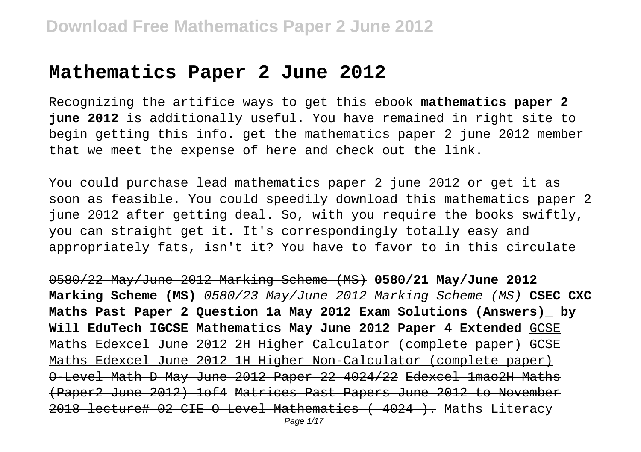#### **Mathematics Paper 2 June 2012**

Recognizing the artifice ways to get this ebook **mathematics paper 2 june 2012** is additionally useful. You have remained in right site to begin getting this info. get the mathematics paper 2 june 2012 member that we meet the expense of here and check out the link.

You could purchase lead mathematics paper 2 june 2012 or get it as soon as feasible. You could speedily download this mathematics paper 2 june 2012 after getting deal. So, with you require the books swiftly, you can straight get it. It's correspondingly totally easy and appropriately fats, isn't it? You have to favor to in this circulate

0580/22 May/June 2012 Marking Scheme (MS) **0580/21 May/June 2012 Marking Scheme (MS)** 0580/23 May/June 2012 Marking Scheme (MS) **CSEC CXC Maths Past Paper 2 Question 1a May 2012 Exam Solutions (Answers)\_ by Will EduTech IGCSE Mathematics May June 2012 Paper 4 Extended** GCSE Maths Edexcel June 2012 2H Higher Calculator (complete paper) GCSE Maths Edexcel June 2012 1H Higher Non-Calculator (complete paper) O-Level Math D May June 2012 Paper 22 4024/22 Edexcel 1mao2H Maths (Paper2 June 2012) 1of4 Matrices Past Papers June 2012 to November 2018 lecture# 02 CIE O Level Mathematics ( 4024 ). Maths Literacy Page 1/17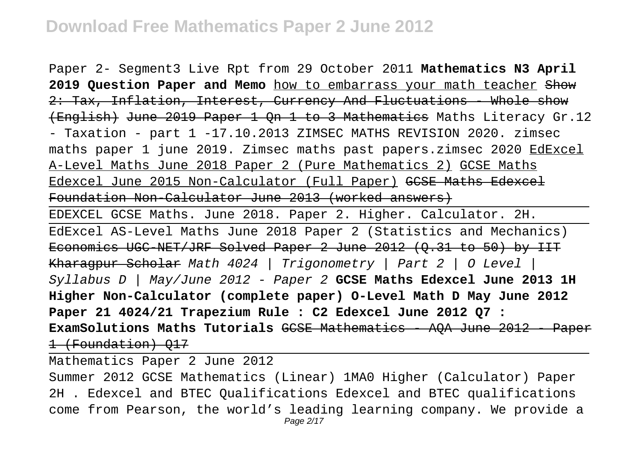Paper 2- Segment3 Live Rpt from 29 October 2011 **Mathematics N3 April** 2019 Question Paper and Memo how to embarrass your math teacher Show 2: Tax, Inflation, Interest, Currency And Fluctuations - Whole show (English) June 2019 Paper 1 Qn 1 to 3 Mathematics Maths Literacy Gr.12 - Taxation - part 1 -17.10.2013 ZIMSEC MATHS REVISION 2020. zimsec maths paper 1 june 2019. Zimsec maths past papers.zimsec 2020 EdExcel A-Level Maths June 2018 Paper 2 (Pure Mathematics 2) GCSE Maths Edexcel June 2015 Non-Calculator (Full Paper) GCSE Maths Edexcel Foundation Non-Calculator June 2013 (worked answers)

EDEXCEL GCSE Maths. June 2018. Paper 2. Higher. Calculator. 2H. EdExcel AS-Level Maths June 2018 Paper 2 (Statistics and Mechanics) Economics UGC NET/JRF Solved Paper 2 June 2012 (0.31 to 50) by IIT Kharagpur Scholar Math 4024 | Trigonometry | Part 2 | O Level | Syllabus D | May/June 2012 - Paper 2 **GCSE Maths Edexcel June 2013 1H Higher Non-Calculator (complete paper) O-Level Math D May June 2012 Paper 21 4024/21 Trapezium Rule : C2 Edexcel June 2012 Q7 : ExamSolutions Maths Tutorials** GCSE Mathematics - AQA June 2012 - Paper 1 (Foundation) Q17

Mathematics Paper 2 June 2012

Summer 2012 GCSE Mathematics (Linear) 1MA0 Higher (Calculator) Paper 2H . Edexcel and BTEC Qualifications Edexcel and BTEC qualifications come from Pearson, the world's leading learning company. We provide a Page 2/17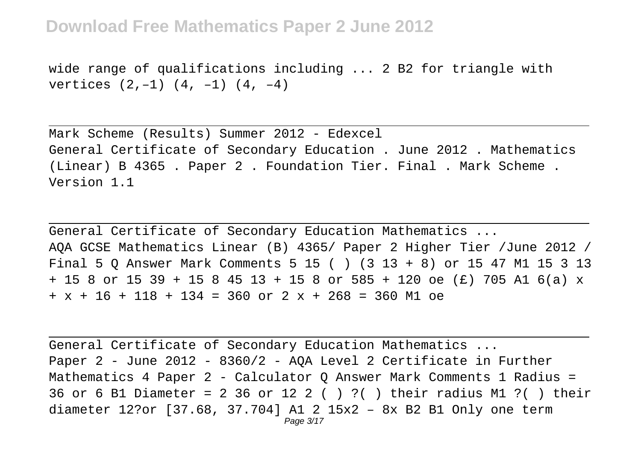wide range of qualifications including ... 2 B2 for triangle with vertices  $(2,-1)$   $(4, -1)$   $(4, -4)$ 

Mark Scheme (Results) Summer 2012 - Edexcel General Certificate of Secondary Education . June 2012 . Mathematics (Linear) B 4365 . Paper 2 . Foundation Tier. Final . Mark Scheme . Version 1.1

General Certificate of Secondary Education Mathematics ... AQA GCSE Mathematics Linear (B) 4365/ Paper 2 Higher Tier /June 2012 / Final 5 Q Answer Mark Comments 5 15 ( ) (3 13 + 8) or 15 47 M1 15 3 13 + 15 8 or 15 39 + 15 8 45 13 + 15 8 or 585 + 120 oe (£) 705 A1 6(a) x  $+ x + 16 + 118 + 134 = 360$  or  $2 x + 268 = 360$  M1 oe

General Certificate of Secondary Education Mathematics ... Paper 2 - June 2012 - 8360/2 - AQA Level 2 Certificate in Further Mathematics 4 Paper 2 - Calculator Q Answer Mark Comments 1 Radius = 36 or 6 B1 Diameter = 2 36 or 12 2 ( ) ?( ) their radius M1 ?( ) their diameter 12?or [37.68, 37.704] A1 2 15x2 – 8x B2 B1 Only one term Page 3/17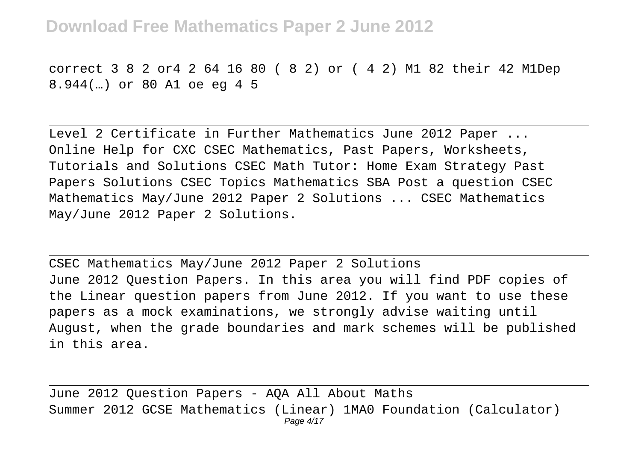correct 3 8 2 or4 2 64 16 80 ( 8 2) or ( 4 2) M1 82 their 42 M1Dep 8.944(…) or 80 A1 oe eg 4 5

Level 2 Certificate in Further Mathematics June 2012 Paper ... Online Help for CXC CSEC Mathematics, Past Papers, Worksheets, Tutorials and Solutions CSEC Math Tutor: Home Exam Strategy Past Papers Solutions CSEC Topics Mathematics SBA Post a question CSEC Mathematics May/June 2012 Paper 2 Solutions ... CSEC Mathematics May/June 2012 Paper 2 Solutions.

CSEC Mathematics May/June 2012 Paper 2 Solutions June 2012 Question Papers. In this area you will find PDF copies of the Linear question papers from June 2012. If you want to use these papers as a mock examinations, we strongly advise waiting until August, when the grade boundaries and mark schemes will be published in this area.

June 2012 Question Papers - AQA All About Maths Summer 2012 GCSE Mathematics (Linear) 1MA0 Foundation (Calculator) Page 4/17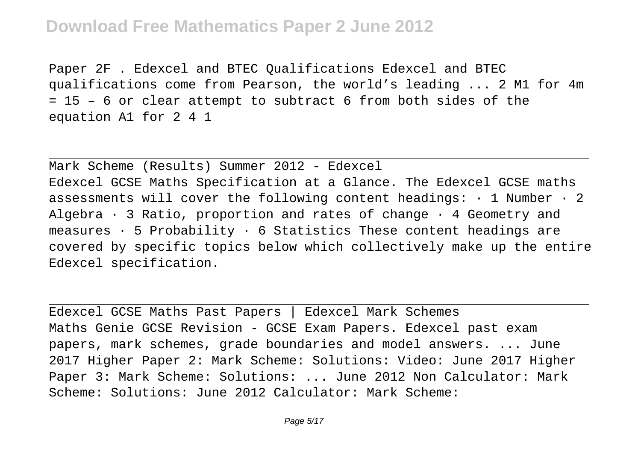Paper 2F . Edexcel and BTEC Qualifications Edexcel and BTEC qualifications come from Pearson, the world's leading ... 2 M1 for 4m = 15 – 6 or clear attempt to subtract 6 from both sides of the equation A1 for 2 4 1

Mark Scheme (Results) Summer 2012 - Edexcel Edexcel GCSE Maths Specification at a Glance. The Edexcel GCSE maths assessments will cover the following content headings:  $\cdot$  1 Number  $\cdot$  2 Algebra  $\cdot$  3 Ratio, proportion and rates of change  $\cdot$  4 Geometry and measures  $\cdot$  5 Probability  $\cdot$  6 Statistics These content headings are covered by specific topics below which collectively make up the entire Edexcel specification.

Edexcel GCSE Maths Past Papers | Edexcel Mark Schemes Maths Genie GCSE Revision - GCSE Exam Papers. Edexcel past exam papers, mark schemes, grade boundaries and model answers. ... June 2017 Higher Paper 2: Mark Scheme: Solutions: Video: June 2017 Higher Paper 3: Mark Scheme: Solutions: ... June 2012 Non Calculator: Mark Scheme: Solutions: June 2012 Calculator: Mark Scheme: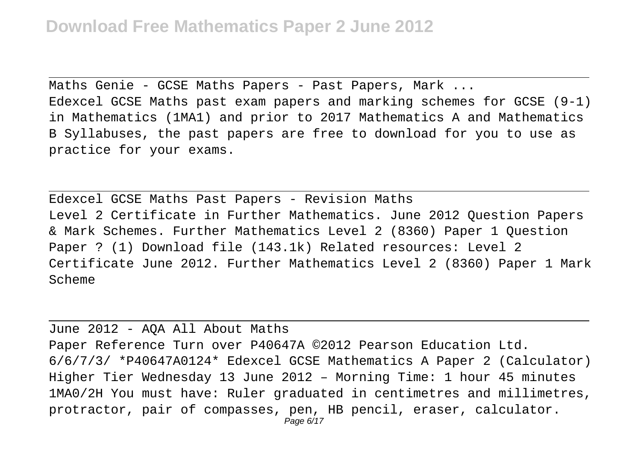Maths Genie - GCSE Maths Papers - Past Papers, Mark ... Edexcel GCSE Maths past exam papers and marking schemes for GCSE (9-1) in Mathematics (1MA1) and prior to 2017 Mathematics A and Mathematics B Syllabuses, the past papers are free to download for you to use as practice for your exams.

Edexcel GCSE Maths Past Papers - Revision Maths Level 2 Certificate in Further Mathematics. June 2012 Question Papers & Mark Schemes. Further Mathematics Level 2 (8360) Paper 1 Question Paper ? (1) Download file (143.1k) Related resources: Level 2 Certificate June 2012. Further Mathematics Level 2 (8360) Paper 1 Mark Scheme

June 2012 - AQA All About Maths Paper Reference Turn over P40647A ©2012 Pearson Education Ltd. 6/6/7/3/ \*P40647A0124\* Edexcel GCSE Mathematics A Paper 2 (Calculator) Higher Tier Wednesday 13 June 2012 – Morning Time: 1 hour 45 minutes 1MA0/2H You must have: Ruler graduated in centimetres and millimetres, protractor, pair of compasses, pen, HB pencil, eraser, calculator. Page 6/17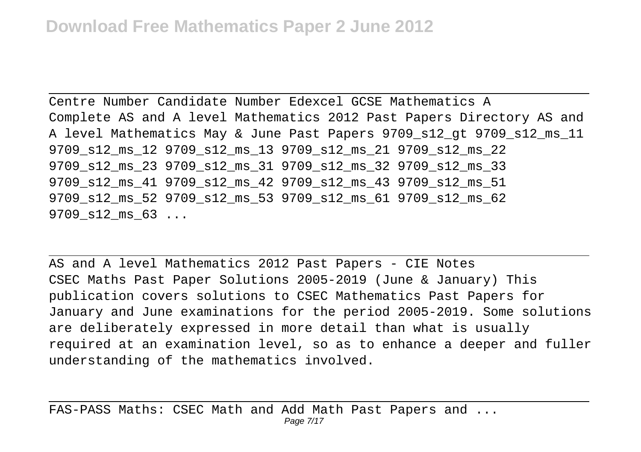Centre Number Candidate Number Edexcel GCSE Mathematics A Complete AS and A level Mathematics 2012 Past Papers Directory AS and A level Mathematics May & June Past Papers 9709\_s12\_gt 9709\_s12\_ms\_11 9709\_s12\_ms\_12 9709\_s12\_ms\_13 9709\_s12\_ms\_21 9709\_s12\_ms\_22 9709\_s12\_ms\_23 9709\_s12\_ms\_31 9709\_s12\_ms\_32 9709\_s12\_ms\_33 9709\_s12\_ms\_41 9709\_s12\_ms\_42 9709\_s12\_ms\_43 9709\_s12\_ms\_51 9709\_s12\_ms\_52 9709\_s12\_ms\_53 9709\_s12\_ms\_61 9709\_s12\_ms\_62 9709 s12 ms 63 ...

AS and A level Mathematics 2012 Past Papers - CIE Notes CSEC Maths Past Paper Solutions 2005-2019 (June & January) This publication covers solutions to CSEC Mathematics Past Papers for January and June examinations for the period 2005-2019. Some solutions are deliberately expressed in more detail than what is usually required at an examination level, so as to enhance a deeper and fuller understanding of the mathematics involved.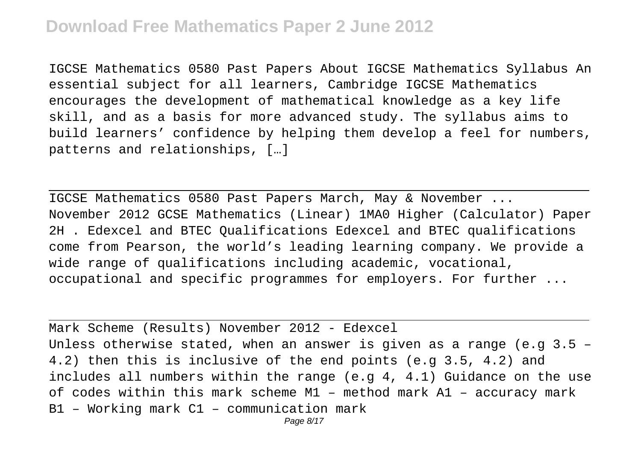IGCSE Mathematics 0580 Past Papers About IGCSE Mathematics Syllabus An essential subject for all learners, Cambridge IGCSE Mathematics encourages the development of mathematical knowledge as a key life skill, and as a basis for more advanced study. The syllabus aims to build learners' confidence by helping them develop a feel for numbers, patterns and relationships, […]

IGCSE Mathematics 0580 Past Papers March, May & November ... November 2012 GCSE Mathematics (Linear) 1MA0 Higher (Calculator) Paper 2H . Edexcel and BTEC Qualifications Edexcel and BTEC qualifications come from Pearson, the world's leading learning company. We provide a wide range of qualifications including academic, vocational, occupational and specific programmes for employers. For further ...

Mark Scheme (Results) November 2012 - Edexcel Unless otherwise stated, when an answer is given as a range (e.g  $3.5$  -4.2) then this is inclusive of the end points (e.g 3.5, 4.2) and includes all numbers within the range  $(e,q_4, 4.1)$  Guidance on the use of codes within this mark scheme M1 – method mark A1 – accuracy mark B1 – Working mark C1 – communication mark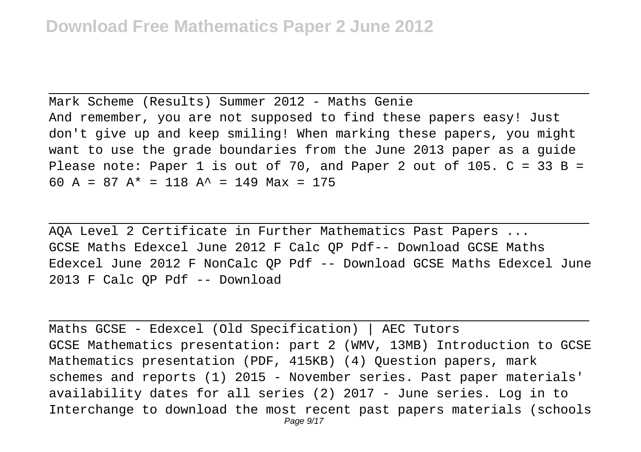Mark Scheme (Results) Summer 2012 - Maths Genie And remember, you are not supposed to find these papers easy! Just don't give up and keep smiling! When marking these papers, you might want to use the grade boundaries from the June 2013 paper as a guide Please note: Paper 1 is out of 70, and Paper 2 out of 105.  $C = 33 B =$ 60 A = 87 A\* = 118 A<sup> $\sim$ </sup> = 149 Max = 175

AQA Level 2 Certificate in Further Mathematics Past Papers ... GCSE Maths Edexcel June 2012 F Calc QP Pdf-- Download GCSE Maths Edexcel June 2012 F NonCalc QP Pdf -- Download GCSE Maths Edexcel June 2013 F Calc QP Pdf -- Download

Maths GCSE - Edexcel (Old Specification) | AEC Tutors GCSE Mathematics presentation: part 2 (WMV, 13MB) Introduction to GCSE Mathematics presentation (PDF, 415KB) (4) Question papers, mark schemes and reports (1) 2015 - November series. Past paper materials' availability dates for all series (2) 2017 - June series. Log in to Interchange to download the most recent past papers materials (schools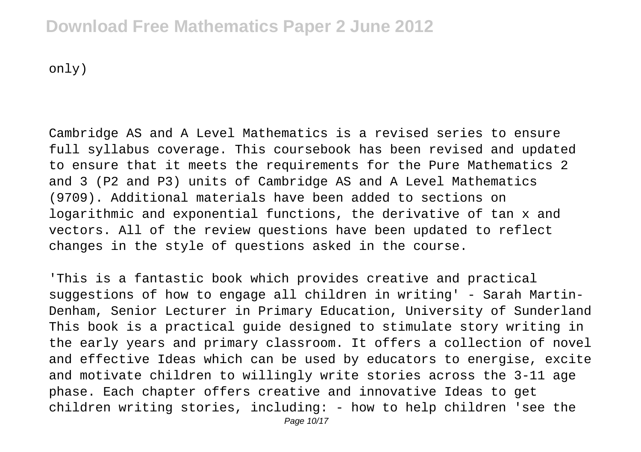only)

Cambridge AS and A Level Mathematics is a revised series to ensure full syllabus coverage. This coursebook has been revised and updated to ensure that it meets the requirements for the Pure Mathematics 2 and 3 (P2 and P3) units of Cambridge AS and A Level Mathematics (9709). Additional materials have been added to sections on logarithmic and exponential functions, the derivative of tan x and vectors. All of the review questions have been updated to reflect changes in the style of questions asked in the course.

'This is a fantastic book which provides creative and practical suggestions of how to engage all children in writing' - Sarah Martin-Denham, Senior Lecturer in Primary Education, University of Sunderland This book is a practical guide designed to stimulate story writing in the early years and primary classroom. It offers a collection of novel and effective Ideas which can be used by educators to energise, excite and motivate children to willingly write stories across the 3-11 age phase. Each chapter offers creative and innovative Ideas to get children writing stories, including: - how to help children 'see the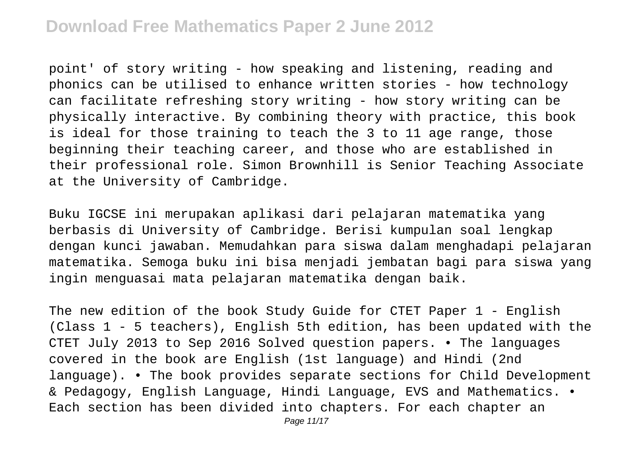point' of story writing - how speaking and listening, reading and phonics can be utilised to enhance written stories - how technology can facilitate refreshing story writing - how story writing can be physically interactive. By combining theory with practice, this book is ideal for those training to teach the 3 to 11 age range, those beginning their teaching career, and those who are established in their professional role. Simon Brownhill is Senior Teaching Associate at the University of Cambridge.

Buku IGCSE ini merupakan aplikasi dari pelajaran matematika yang berbasis di University of Cambridge. Berisi kumpulan soal lengkap dengan kunci jawaban. Memudahkan para siswa dalam menghadapi pelajaran matematika. Semoga buku ini bisa menjadi jembatan bagi para siswa yang ingin menguasai mata pelajaran matematika dengan baik.

The new edition of the book Study Guide for CTET Paper 1 - English (Class 1 - 5 teachers), English 5th edition, has been updated with the CTET July 2013 to Sep 2016 Solved question papers. • The languages covered in the book are English (1st language) and Hindi (2nd language). • The book provides separate sections for Child Development & Pedagogy, English Language, Hindi Language, EVS and Mathematics. • Each section has been divided into chapters. For each chapter an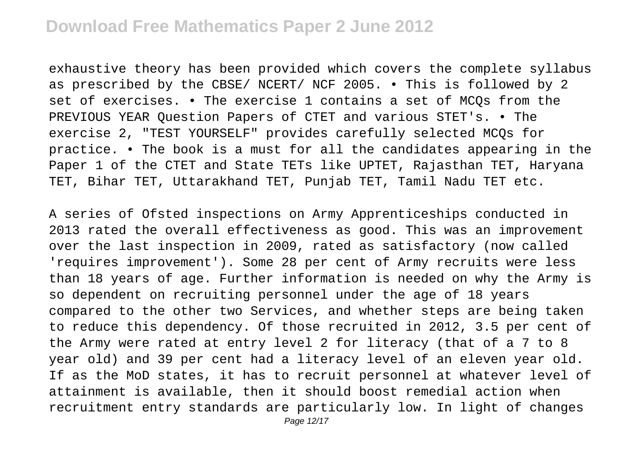exhaustive theory has been provided which covers the complete syllabus as prescribed by the CBSE/ NCERT/ NCF 2005. • This is followed by 2 set of exercises. • The exercise 1 contains a set of MCQs from the PREVIOUS YEAR Question Papers of CTET and various STET's. • The exercise 2, "TEST YOURSELF" provides carefully selected MCQs for practice. • The book is a must for all the candidates appearing in the Paper 1 of the CTET and State TETs like UPTET, Rajasthan TET, Haryana TET, Bihar TET, Uttarakhand TET, Punjab TET, Tamil Nadu TET etc.

A series of Ofsted inspections on Army Apprenticeships conducted in 2013 rated the overall effectiveness as good. This was an improvement over the last inspection in 2009, rated as satisfactory (now called 'requires improvement'). Some 28 per cent of Army recruits were less than 18 years of age. Further information is needed on why the Army is so dependent on recruiting personnel under the age of 18 years compared to the other two Services, and whether steps are being taken to reduce this dependency. Of those recruited in 2012, 3.5 per cent of the Army were rated at entry level 2 for literacy (that of a 7 to 8 year old) and 39 per cent had a literacy level of an eleven year old. If as the MoD states, it has to recruit personnel at whatever level of attainment is available, then it should boost remedial action when recruitment entry standards are particularly low. In light of changes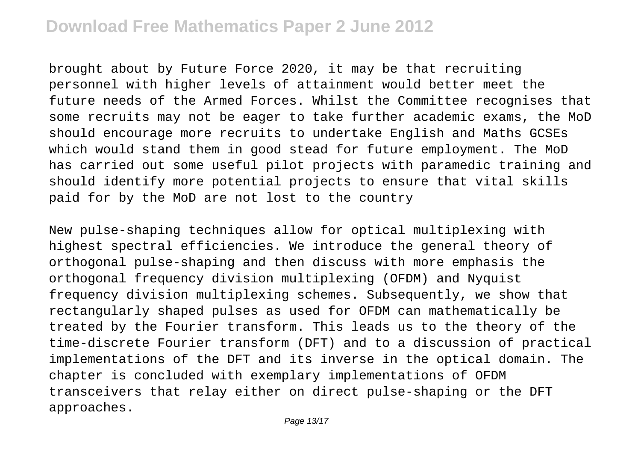brought about by Future Force 2020, it may be that recruiting personnel with higher levels of attainment would better meet the future needs of the Armed Forces. Whilst the Committee recognises that some recruits may not be eager to take further academic exams, the MoD should encourage more recruits to undertake English and Maths GCSEs which would stand them in good stead for future employment. The MoD has carried out some useful pilot projects with paramedic training and should identify more potential projects to ensure that vital skills paid for by the MoD are not lost to the country

New pulse-shaping techniques allow for optical multiplexing with highest spectral efficiencies. We introduce the general theory of orthogonal pulse-shaping and then discuss with more emphasis the orthogonal frequency division multiplexing (OFDM) and Nyquist frequency division multiplexing schemes. Subsequently, we show that rectangularly shaped pulses as used for OFDM can mathematically be treated by the Fourier transform. This leads us to the theory of the time-discrete Fourier transform (DFT) and to a discussion of practical implementations of the DFT and its inverse in the optical domain. The chapter is concluded with exemplary implementations of OFDM transceivers that relay either on direct pulse-shaping or the DFT approaches.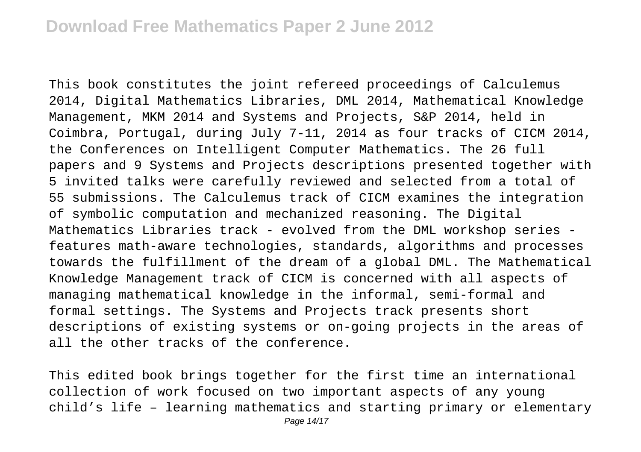This book constitutes the joint refereed proceedings of Calculemus 2014, Digital Mathematics Libraries, DML 2014, Mathematical Knowledge Management, MKM 2014 and Systems and Projects, S&P 2014, held in Coimbra, Portugal, during July 7-11, 2014 as four tracks of CICM 2014, the Conferences on Intelligent Computer Mathematics. The 26 full papers and 9 Systems and Projects descriptions presented together with 5 invited talks were carefully reviewed and selected from a total of 55 submissions. The Calculemus track of CICM examines the integration of symbolic computation and mechanized reasoning. The Digital Mathematics Libraries track - evolved from the DML workshop series features math-aware technologies, standards, algorithms and processes towards the fulfillment of the dream of a global DML. The Mathematical Knowledge Management track of CICM is concerned with all aspects of managing mathematical knowledge in the informal, semi-formal and formal settings. The Systems and Projects track presents short descriptions of existing systems or on-going projects in the areas of all the other tracks of the conference.

This edited book brings together for the first time an international collection of work focused on two important aspects of any young child's life – learning mathematics and starting primary or elementary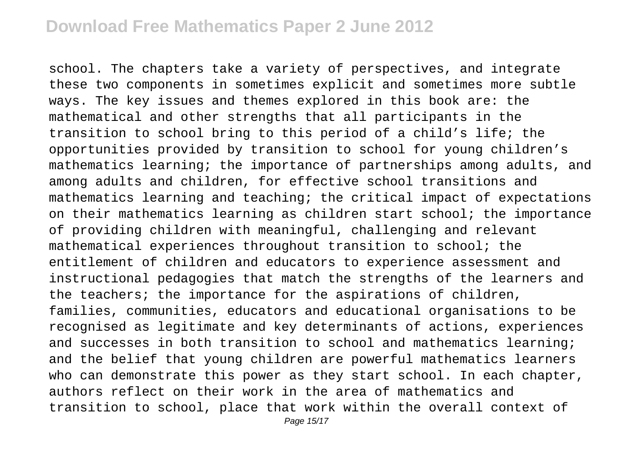school. The chapters take a variety of perspectives, and integrate these two components in sometimes explicit and sometimes more subtle ways. The key issues and themes explored in this book are: the mathematical and other strengths that all participants in the transition to school bring to this period of a child's life; the opportunities provided by transition to school for young children's mathematics learning; the importance of partnerships among adults, and among adults and children, for effective school transitions and mathematics learning and teaching; the critical impact of expectations on their mathematics learning as children start school; the importance of providing children with meaningful, challenging and relevant mathematical experiences throughout transition to school; the entitlement of children and educators to experience assessment and instructional pedagogies that match the strengths of the learners and the teachers; the importance for the aspirations of children, families, communities, educators and educational organisations to be recognised as legitimate and key determinants of actions, experiences and successes in both transition to school and mathematics learning; and the belief that young children are powerful mathematics learners who can demonstrate this power as they start school. In each chapter, authors reflect on their work in the area of mathematics and transition to school, place that work within the overall context of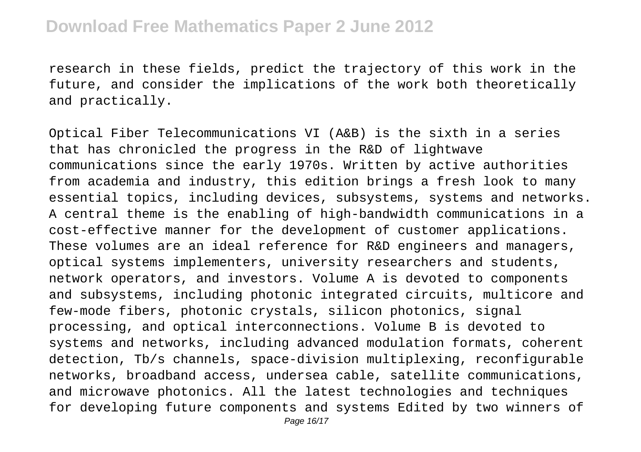research in these fields, predict the trajectory of this work in the future, and consider the implications of the work both theoretically and practically.

Optical Fiber Telecommunications VI (A&B) is the sixth in a series that has chronicled the progress in the R&D of lightwave communications since the early 1970s. Written by active authorities from academia and industry, this edition brings a fresh look to many essential topics, including devices, subsystems, systems and networks. A central theme is the enabling of high-bandwidth communications in a cost-effective manner for the development of customer applications. These volumes are an ideal reference for R&D engineers and managers, optical systems implementers, university researchers and students, network operators, and investors. Volume A is devoted to components and subsystems, including photonic integrated circuits, multicore and few-mode fibers, photonic crystals, silicon photonics, signal processing, and optical interconnections. Volume B is devoted to systems and networks, including advanced modulation formats, coherent detection, Tb/s channels, space-division multiplexing, reconfigurable networks, broadband access, undersea cable, satellite communications, and microwave photonics. All the latest technologies and techniques for developing future components and systems Edited by two winners of